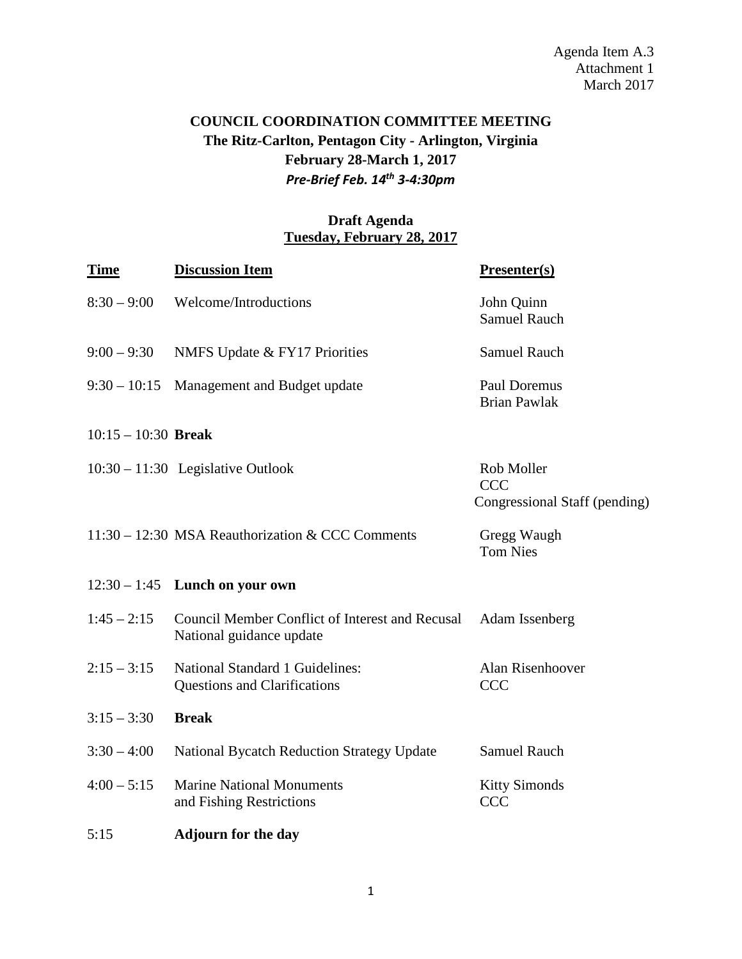Agenda Item A.3 Attachment 1 March 2017

## **COUNCIL COORDINATION COMMITTEE MEETING The Ritz-Carlton, Pentagon City - Arlington, Virginia February 28-March 1, 2017** *Pre-Brief Feb. 14th 3-4:30pm*

## **Draft Agenda Tuesday, February 28, 2017**

| <b>Time</b>           | <b>Discussion Item</b>                                                      | Presenter(s)                                              |
|-----------------------|-----------------------------------------------------------------------------|-----------------------------------------------------------|
| $8:30 - 9:00$         | Welcome/Introductions                                                       | John Quinn<br><b>Samuel Rauch</b>                         |
| $9:00 - 9:30$         | NMFS Update & FY17 Priorities                                               | <b>Samuel Rauch</b>                                       |
| $9:30 - 10:15$        | Management and Budget update                                                | Paul Doremus<br><b>Brian Pawlak</b>                       |
| $10:15 - 10:30$ Break |                                                                             |                                                           |
|                       | $10:30 - 11:30$ Legislative Outlook                                         | Rob Moller<br><b>CCC</b><br>Congressional Staff (pending) |
|                       | 11:30 – 12:30 MSA Reauthorization & CCC Comments                            | Gregg Waugh<br><b>Tom Nies</b>                            |
|                       | $12:30 - 1:45$ Lunch on your own                                            |                                                           |
| $1:45 - 2:15$         | Council Member Conflict of Interest and Recusal<br>National guidance update | Adam Issenberg                                            |
| $2:15 - 3:15$         | National Standard 1 Guidelines:<br><b>Questions and Clarifications</b>      | Alan Risenhoover<br><b>CCC</b>                            |
| $3:15 - 3:30$         | <b>Break</b>                                                                |                                                           |
| $3:30 - 4:00$         | <b>National Bycatch Reduction Strategy Update</b>                           | <b>Samuel Rauch</b>                                       |
| $4:00 - 5:15$         | <b>Marine National Monuments</b><br>and Fishing Restrictions                | <b>Kitty Simonds</b><br><b>CCC</b>                        |
| 5:15                  | <b>Adjourn for the day</b>                                                  |                                                           |